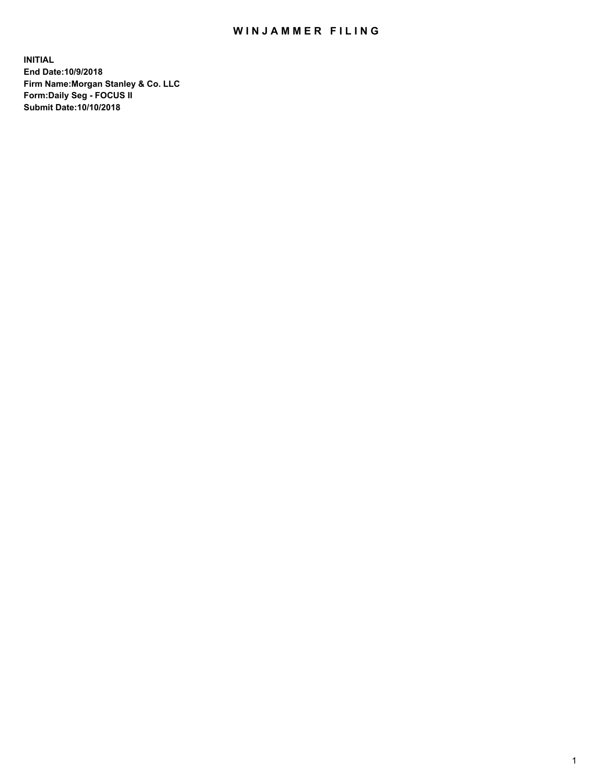## WIN JAMMER FILING

**INITIAL End Date:10/9/2018 Firm Name:Morgan Stanley & Co. LLC Form:Daily Seg - FOCUS II Submit Date:10/10/2018**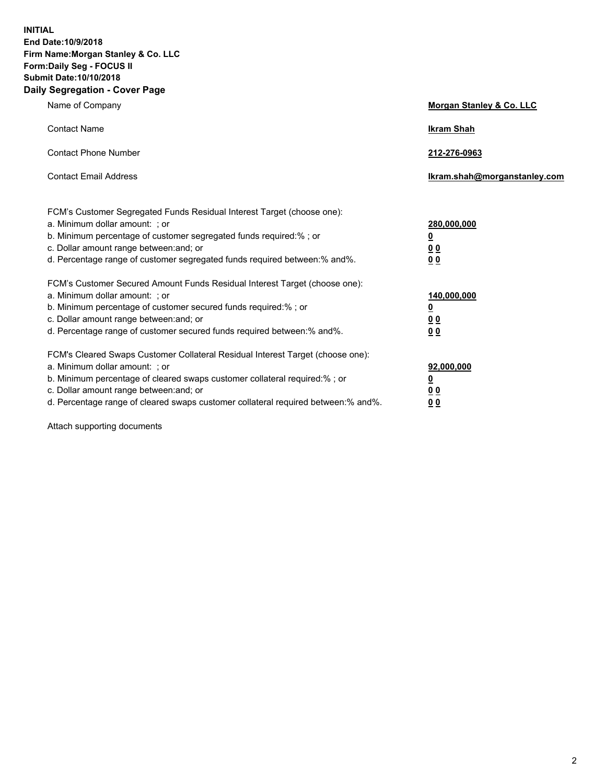**INITIAL End Date:10/9/2018 Firm Name:Morgan Stanley & Co. LLC Form:Daily Seg - FOCUS II Submit Date:10/10/2018 Daily Segregation - Cover Page**

| Name of Company                                                                                                        | Morgan Stanley & Co. LLC     |
|------------------------------------------------------------------------------------------------------------------------|------------------------------|
| <b>Contact Name</b>                                                                                                    | <b>Ikram Shah</b>            |
| <b>Contact Phone Number</b>                                                                                            | 212-276-0963                 |
| <b>Contact Email Address</b>                                                                                           | Ikram.shah@morganstanley.com |
| FCM's Customer Segregated Funds Residual Interest Target (choose one):                                                 |                              |
| a. Minimum dollar amount: ; or                                                                                         | 280,000,000                  |
| b. Minimum percentage of customer segregated funds required:% ; or                                                     | <u>0</u>                     |
| c. Dollar amount range between: and; or<br>d. Percentage range of customer segregated funds required between: % and %. | <u>0 0</u><br>0 Q            |
| FCM's Customer Secured Amount Funds Residual Interest Target (choose one):                                             |                              |
| a. Minimum dollar amount: ; or                                                                                         | 140,000,000                  |
| b. Minimum percentage of customer secured funds required:%; or                                                         | <u>0</u>                     |
| c. Dollar amount range between: and; or                                                                                | 0 <sub>0</sub>               |
| d. Percentage range of customer secured funds required between:% and%.                                                 | 0 <sub>0</sub>               |
| FCM's Cleared Swaps Customer Collateral Residual Interest Target (choose one):                                         |                              |
| a. Minimum dollar amount: ; or                                                                                         | 92,000,000                   |
| b. Minimum percentage of cleared swaps customer collateral required:% ; or                                             | <u>0</u>                     |
| c. Dollar amount range between: and; or                                                                                | 0 Q                          |
| d. Percentage range of cleared swaps customer collateral required between:% and%.                                      | 00                           |

Attach supporting documents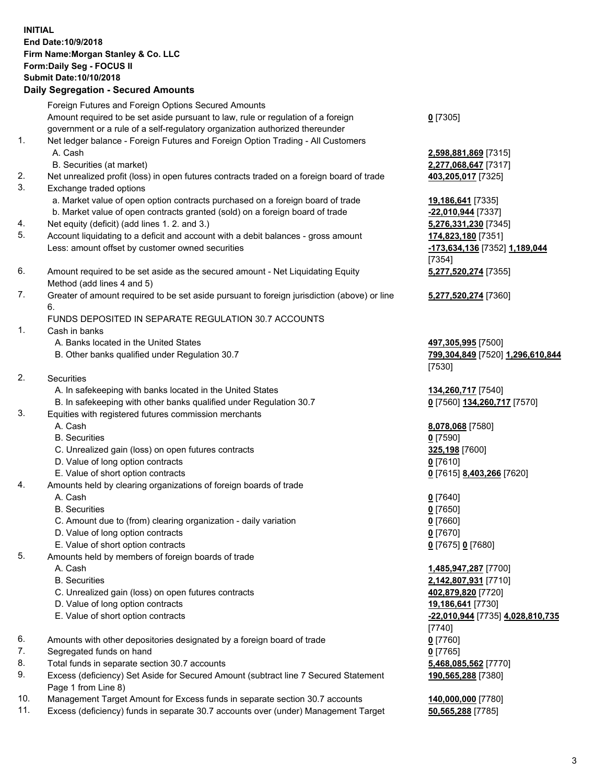## **INITIAL End Date:10/9/2018 Firm Name:Morgan Stanley & Co. LLC Form:Daily Seg - FOCUS II Submit Date:10/10/2018**

**Daily Segregation - Secured Amounts** Foreign Futures and Foreign Options Secured Amounts Amount required to be set aside pursuant to law, rule or regulation of a foreign government or a rule of a self-regulatory organization authorized thereunder 1. Net ledger balance - Foreign Futures and Foreign Option Trading - All Customers A. Cash **2,598,881,869** [7315] B. Securities (at market) **2,277,068,647** [7317] 2. Net unrealized profit (loss) in open futures contracts traded on a foreign board of trade **403,205,017** [7325] 3. Exchange traded options a. Market value of open option contracts purchased on a foreign board of trade **19,186,641** [7335] b. Market value of open contracts granted (sold) on a foreign board of trade **-22,010,944** [7337] 4. Net equity (deficit) (add lines 1. 2. and 3.) **5,276,331,230** [7345] 5. Account liquidating to a deficit and account with a debit balances - gross amount **174,823,180** [7351] Less: amount offset by customer owned securities **-173,634,136** [7352] **1,189,044** 6. Amount required to be set aside as the secured amount - Net Liquidating Equity Method (add lines 4 and 5) 7. Greater of amount required to be set aside pursuant to foreign jurisdiction (above) or line 6. FUNDS DEPOSITED IN SEPARATE REGULATION 30.7 ACCOUNTS 1. Cash in banks A. Banks located in the United States **497,305,995** [7500] B. Other banks qualified under Regulation 30.7 **799,304,849** [7520] **1,296,610,844** 2. Securities A. In safekeeping with banks located in the United States **134,260,717** [7540] B. In safekeeping with other banks qualified under Regulation 30.7 **0** [7560] **134,260,717** [7570] 3. Equities with registered futures commission merchants A. Cash **8,078,068** [7580] B. Securities **0** [7590] C. Unrealized gain (loss) on open futures contracts **325,198** [7600] D. Value of long option contracts **0** [7610] E. Value of short option contracts **0** [7615] **8,403,266** [7620] 4. Amounts held by clearing organizations of foreign boards of trade A. Cash **0** [7640] B. Securities **0** [7650] C. Amount due to (from) clearing organization - daily variation **0** [7660] D. Value of long option contracts **0** [7670] E. Value of short option contracts **0** [7675] **0** [7680] 5. Amounts held by members of foreign boards of trade A. Cash **1,485,947,287** [7700] B. Securities **2,142,807,931** [7710] C. Unrealized gain (loss) on open futures contracts **402,879,820** [7720]

- D. Value of long option contracts **19,186,641** [7730]
- E. Value of short option contracts **-22,010,944** [7735] **4,028,810,735**
- 6. Amounts with other depositories designated by a foreign board of trade **0** [7760]
- 7. Segregated funds on hand **0** [7765]
- 8. Total funds in separate section 30.7 accounts **5,468,085,562** [7770]
- 9. Excess (deficiency) Set Aside for Secured Amount (subtract line 7 Secured Statement Page 1 from Line 8)
- 10. Management Target Amount for Excess funds in separate section 30.7 accounts **140,000,000** [7780]
- 11. Excess (deficiency) funds in separate 30.7 accounts over (under) Management Target **50,565,288** [7785]

**0** [7305]

[7354] **5,277,520,274** [7355]

**5,277,520,274** [7360]

[7530]

[7740] **190,565,288** [7380]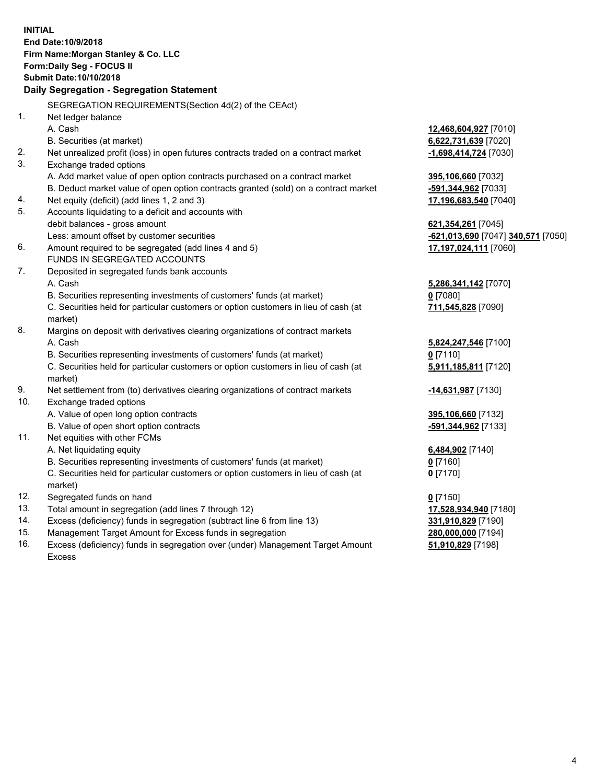**INITIAL End Date:10/9/2018 Firm Name:Morgan Stanley & Co. LLC Form:Daily Seg - FOCUS II Submit Date:10/10/2018 Daily Segregation - Segregation Statement** SEGREGATION REQUIREMENTS(Section 4d(2) of the CEAct) 1. Net ledger balance A. Cash **12,468,604,927** [7010] B. Securities (at market) **6,622,731,639** [7020] 2. Net unrealized profit (loss) in open futures contracts traded on a contract market **-1,698,414,724** [7030] 3. Exchange traded options A. Add market value of open option contracts purchased on a contract market **395,106,660** [7032] B. Deduct market value of open option contracts granted (sold) on a contract market **-591,344,962** [7033] 4. Net equity (deficit) (add lines 1, 2 and 3) **17,196,683,540** [7040] 5. Accounts liquidating to a deficit and accounts with debit balances - gross amount **621,354,261** [7045] Less: amount offset by customer securities **-621,013,690** [7047] **340,571** [7050] 6. Amount required to be segregated (add lines 4 and 5) **17,197,024,111** [7060] FUNDS IN SEGREGATED ACCOUNTS 7. Deposited in segregated funds bank accounts A. Cash **5,286,341,142** [7070] B. Securities representing investments of customers' funds (at market) **0** [7080] C. Securities held for particular customers or option customers in lieu of cash (at market) **711,545,828** [7090] 8. Margins on deposit with derivatives clearing organizations of contract markets A. Cash **5,824,247,546** [7100] B. Securities representing investments of customers' funds (at market) **0** [7110] C. Securities held for particular customers or option customers in lieu of cash (at market) **5,911,185,811** [7120] 9. Net settlement from (to) derivatives clearing organizations of contract markets **-14,631,987** [7130] 10. Exchange traded options A. Value of open long option contracts **395,106,660** [7132] B. Value of open short option contracts **-591,344,962** [7133] 11. Net equities with other FCMs A. Net liquidating equity **6,484,902** [7140] B. Securities representing investments of customers' funds (at market) **0** [7160] C. Securities held for particular customers or option customers in lieu of cash (at market) **0** [7170] 12. Segregated funds on hand **0** [7150] 13. Total amount in segregation (add lines 7 through 12) **17,528,934,940** [7180] 14. Excess (deficiency) funds in segregation (subtract line 6 from line 13) **331,910,829** [7190] 15. Management Target Amount for Excess funds in segregation **280,000,000** [7194] 16. Excess (deficiency) funds in segregation over (under) Management Target Amount **51,910,829** [7198]

Excess